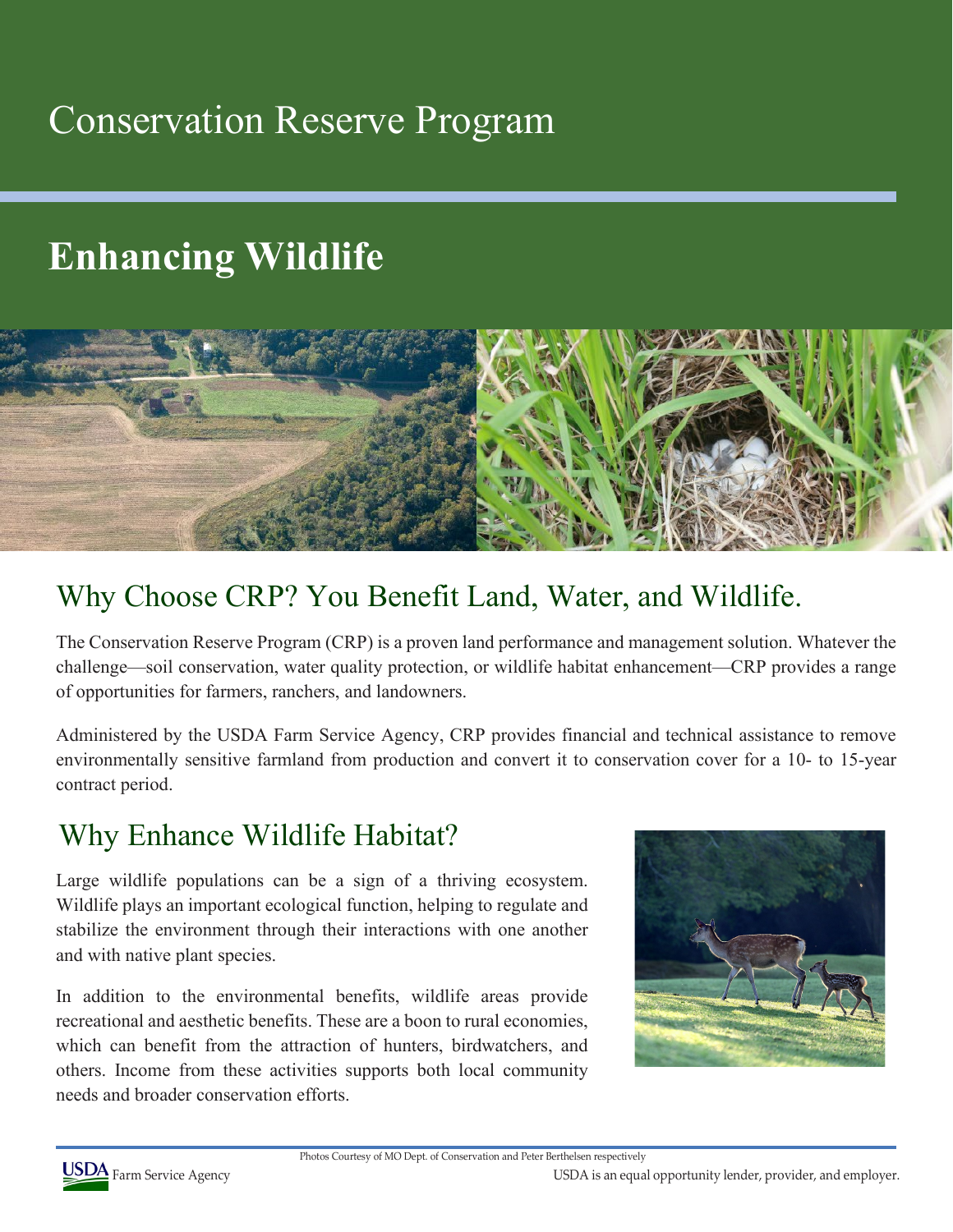### Conservation Reserve Program

# **Enhancing Wildlife**



### Why Choose CRP? You Benefit Land, Water, and Wildlife.

The Conservation Reserve Program (CRP) is a proven land performance and management solution. Whatever the challenge—soil conservation, water quality protection, or wildlife habitat enhancement—CRP provides a range of opportunities for farmers, ranchers, and landowners.

Administered by the USDA Farm Service Agency, CRP provides financial and technical assistance to remove environmentally sensitive farmland from production and convert it to conservation cover for a 10- to 15-year contract period.

#### Why Enhance Wildlife Habitat?

Large wildlife populations can be a sign of a thriving ecosystem. Wildlife plays an important ecological function, helping to regulate and stabilize the environment through their interactions with one another and with native plant species.

In addition to the environmental benefits, wildlife areas provide recreational and aesthetic benefits. These are a boon to rural economies, which can benefit from the attraction of hunters, birdwatchers, and others. Income from these activities supports both local community needs and broader conservation efforts.





USDA Farm Service Agency **USDA** Farm Service Agency **COLL A** Farm Service Agency